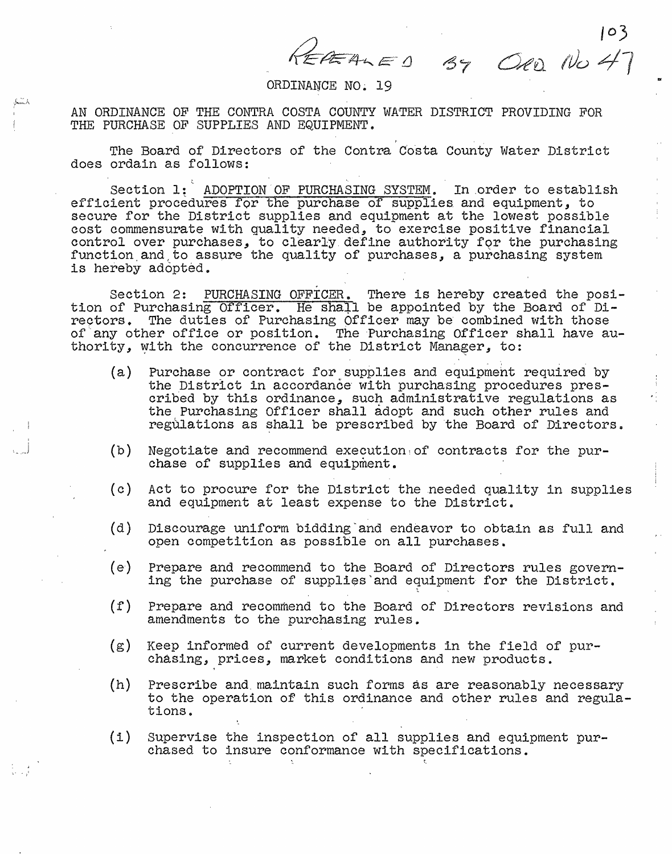$444E$  <u>1</u>

## ORDINANCE NO. 19

AN ORDINANCE OF THE CONTRA COSTA COUNTY WATER DISTRICT PROVIDING FOR THE PURCHASE OF SUPPLIES AND EQUIPMENT.

The Board of Directors of the Contra Costa County Water District does ordain as follows:

,,

Section 1: ADOPTION OF PURCHASING SYSTEM. In order to establish efficient procedures for the purchase of supplies and equipment, to secure for the District supplies and equipment at the lowest possible cost commensurate with quality needed, to exercise positive financial control over purchases, to clearly define authority for the purchasing function and to assure the quality of purchases, a purchasing system is hereby adopted.

Section 2: PURCHASING OFFICER. There is hereby created the posi-<br>tion of Purchasing Officer. He shall be appointed by the Board of Directors. The duties of Purchasing Officer may be combined with those of any other office or position. The Purchasing Officer shall have authority, with the concurrence of the District Manager, to:

- (a) Purchase or contract for supplies and equipment required by the District in accordance with purchasing procedures prescribed by this ordinance, such administrative regulations as the Purchasing Officer shall adopt and such other rules and regulations as shall be prescribed by the Board of Directors.
- $(b)$ Negotiate and recommend execution;of contracts for the pur- chase of supplies and equipment.

·,\_j

. ,'

- $(c)$ Act to procure for the District the needed quality in supplies and equipment at least expense to the District.
- (d) Discourage uniform bidding·and endeavor to obtain as full and open competition as possible on all purchases.
- $(e)$ Prepare and recommend to the Board of Directors rules govern-<br>ing the purchase of supplies and equipment for the District.
- $(f)$ Prepare and recommend to the Board of Directors revisions and amendments to the purchasing rules.
- (g) Keep informed of current developments in the field of pur- chasing, prices, market conditions and new products.
- $(h)$ Prescribe and maintain such forms as are reasonably necessary to the operation of this ordinance and other rules and regula-<br>tions.
- {i) Supervise the inspection of all supplies and equipment pur- chased to insure conformance with specifications •

*Cit'o. 1Vo* 47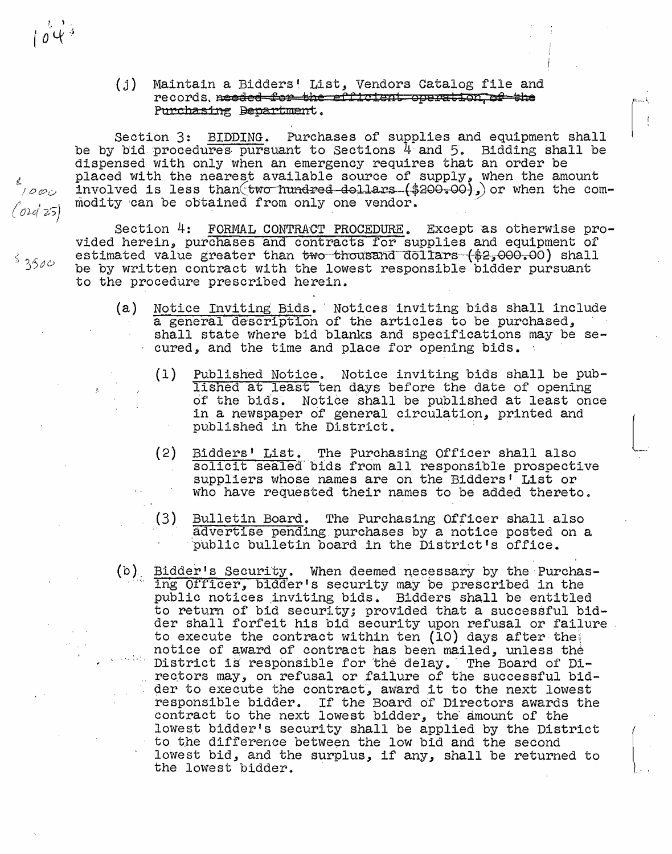## (j) Maintain a Bidders! List, Vendors Catalog file and records. needed for the efficient operation, of the Purchasing Bepartment.

Section 3: BIDDING. Purchases of supplies and equipment shall be by bid procedures pursuant to Sections  $4$  and  $5$ . Bidding shall be dispensed with only when an emergency requires that an order be placed with the nearest available source of supply, when the amount involved is less than two-hundred-dollars  $(*200-00)$ , or when the commodity can be obtained from only one vendor.

Section 4: FORMAL CONTRACT PROCEDURE. Except as otherwise pro-<br>vided herein, purchases and contracts for supplies and equipment of estimated value greater than two thousand dollars (\$2,000.00) shall be by written contract with the lowest responsible bidder pursuant to the procedure prescribed herein.

- (a) Notice Inviting Bids. Notices inviting bids shall include a general description of the articles to be purchased, shall state where bid blanks and specifications may be secured, and the time and place for opening bids.
	- (1) Published Notice. Notice inviting bids shall be pub-<br>lished at least ten days before the date of opening<br>of the bids. Notice shall be published at least once in a newspaper of general circulation, printed and published in the District.
	- (2) Bidders' List. The Purchasing Officer shall also solicit sealed bids from all responsible prospective suppliers whose names are on the Bidders' List or who have requested their names to be added thereto.
	- (3) Bulletin Board. The Purchasing Officer shall also advertise pending purchases by a notice posted on a public bulletin board in the District's office.
- (b) Bidder's Security. When deemed necessary by the Purchasing Officer, bidder's security may.be prescribed in the public notices inviting bids. Bidders shall be entitled to return of bid security; provided that a successful bidder shall forfeit his bid security upon refusal or failure. to execute the contract within ten {10) days after the\ notice of award of contract has been mailed, unless the District is responsible for the delay. The Board of Directors may, on refusal or failure of the successful bidder to execute the contract, award it to the next lowest responsible bidder. If the Board of Directors awards the contract to the next lowest bidder, the amount of the lowest bidder's security shall be applied by the District<br>to the difference between the low bid and the second<br>lowest bid, and the surplus, if any, shall be returned to<br>the lowest bidder. to the difference between the low bid and the second lowest bid, and the surplus, if any, shall be returned to the lowest bidder.

tl.  $/$  0  $\varphi$   $\varphi$ *(rJlc/* ?S)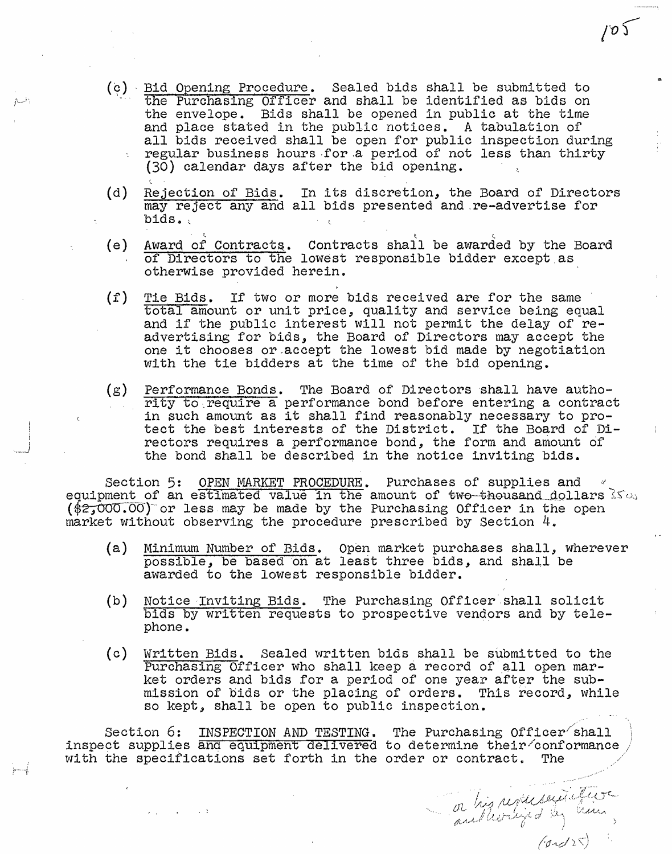- (~), Bid Opening Procedure. Sealed bids shall be submitted to the Purchasing Officer and shall be identified as bids on the envelope. Bids shall be opened in public at the time and place stated in the public notices. A tabulation of all bids received shall be open for public inspection during regular business hours for a period of not less than thirty (30) calendar days after the bid opening.
- (d) Rejection of Bids. In its discretion, the Board of Directors may reject any and all bids presented and .re-advertise for bids.
- (e) Award of Contracts. Contracts shall be awarded by the Board of Directors to the lowest responsible bidder except.as otherwise provided herein.
- {f) Tie Bids. If two or more bids received are for the same total amount or unit price, quality and service being equal and if the public interest Will not permit the delay of readvertising for bids, the Board of Directors may accept the one it chooses or.accept the lowest bid made by negotiation with the tie bidders at the time of the bid opening.
- $(g)$  Performance Bonds. The Board of Directors shall have authority to require a performance bond before entering a contract in such amount as it shall find reasonably necessary to protect the best interests of the District. If the Board of Directors requires a performance bond, the form and amount of the bond shall be described in the notice inviting bids.

Section 5: OPEN MARKET PROCEDURE. Purchases of supplies and  $\sim$  equipment of an estimated value in the amount of two-thousand dollars 1s0. equipment of an estimated value in the amount of two thousand dollars<br>(\$2,000.00) or less may be made by the Purchasing Officer in the open  $(\frac{2}{32},000.00)$  or less may be made by the Purchasing Officer in the open market without observing the procedure prescribed by Section 4.

i I ···-··\_J

- (a) Minimum Number of Bids. Open market purchases shall, wherever possible, be based on at least three bids, and shall be awarded to the lowest responsible bidder.
- (b) Notice Inviting Bids. The Purchasing Officer shall solicit bids by written requests to prospective vendors and by tele $p$  is  $p$   $\frac{1}{2}$   $\frac{1}{2}$   $\frac{1}{2}$   $\frac{1}{2}$   $\frac{1}{2}$   $\frac{1}{2}$   $\frac{1}{2}$   $\frac{1}{2}$   $\frac{1}{2}$   $\frac{1}{2}$   $\frac{1}{2}$   $\frac{1}{2}$   $\frac{1}{2}$   $\frac{1}{2}$   $\frac{1}{2}$   $\frac{1}{2}$   $\frac{1}{2}$   $\frac{1}{2}$   $\frac{1}{2}$   $\frac{1}{2}$   $\frac{1}{2}$
- (c) Written Bids. Sealed written bids shall be submitted to the Purchasing Officer who shall keep a record of all open market orders and bids for a period of one year after the submission of bids or the placing of orders. This record, while so kept, shall be open to public inspection.

on his representative

Section 6: INSPECTION AND TESTING. The Purchasing Officer shall inspect supplies and equipment delivered to determine their/conformance with the specifications set forth in the order or contract. The

 $105$